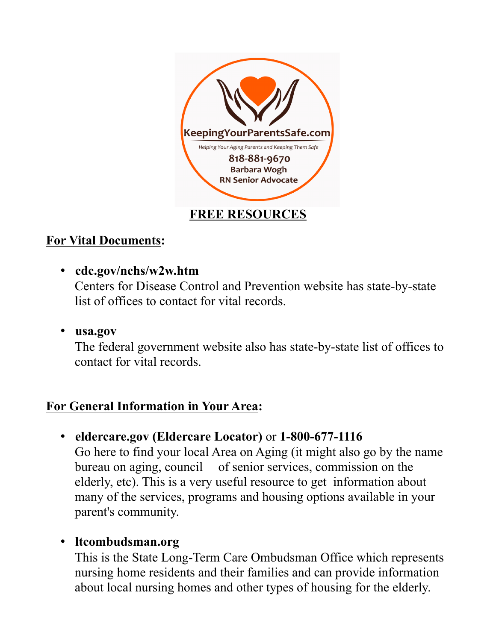

# **For Vital Documents:**

- **cdc.gov/nchs/w2w.htm** Centers for Disease Control and Prevention website has state-by-state list of offices to contact for vital records.
- **usa.gov**

The federal government website also has state-by-state list of offices to contact for vital records.

# **For General Information in Your Area:**

• **eldercare.gov (Eldercare Locator)** or **1-800-677-1116**

Go here to find your local Area on Aging (it might also go by the name bureau on aging, council of senior services, commission on the elderly, etc). This is a very useful resource to get information about many of the services, programs and housing options available in your parent's community.

## • **ltcombudsman.org**

This is the State Long-Term Care Ombudsman Office which represents nursing home residents and their families and can provide information about local nursing homes and other types of housing for the elderly.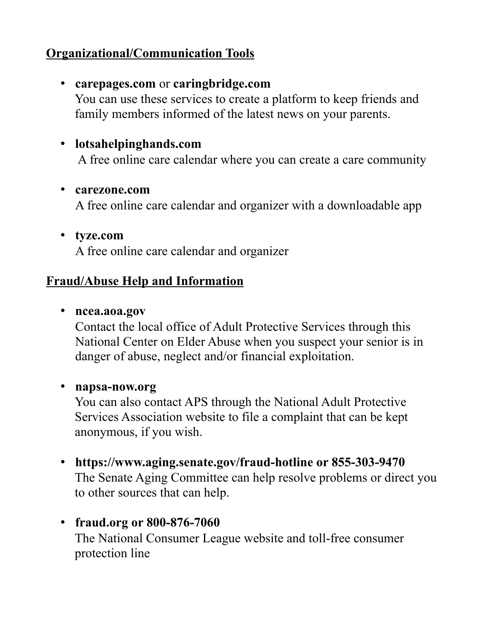## **Organizational/Communication Tools**

## • **carepages.com** or **caringbridge.com**

You can use these services to create a platform to keep friends and family members informed of the latest news on your parents.

# • **lotsahelpinghands.com**

A free online care calendar where you can create a care community

### • **carezone.com**

A free online care calendar and organizer with a downloadable app

• **tyze.com** A free online care calendar and organizer

## **Fraud/Abuse Help and Information**

• **ncea.aoa.gov** 

Contact the local office of Adult Protective Services through this National Center on Elder Abuse when you suspect your senior is in danger of abuse, neglect and/or financial exploitation.

### • **napsa-now.org**

You can also contact APS through the National Adult Protective Services Association website to file a complaint that can be kept anonymous, if you wish.

- **https://www.aging.senate.gov/fraud-hotline or 855-303-9470** The Senate Aging Committee can help resolve problems or direct you to other sources that can help.
- **fraud.org or 800-876-7060** The National Consumer League website and toll-free consumer protection line